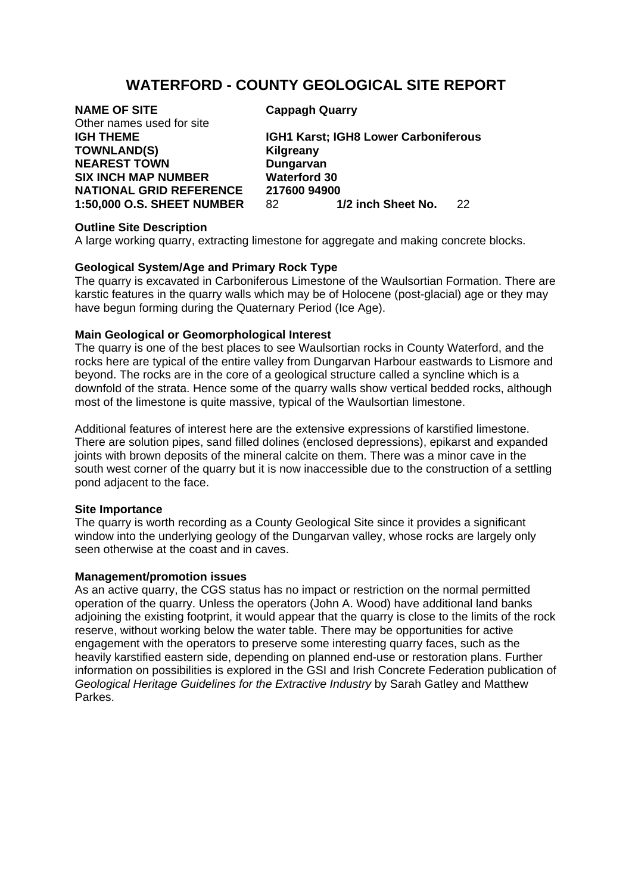## **WATERFORD - COUNTY GEOLOGICAL SITE REPORT**

# **NAME OF SITE Cappagh Quarry**

Other names used for site **TOWNLAND(S) Kilgreany NEAREST TOWN Dungarvan SIX INCH MAP NUMBER Waterford 30** 

**IGH THEME IGH1 Karst; IGH8 Lower Carboniferous NATIONAL GRID REFERENCE** 217600 94900<br>1:50.000 O.S. SHEET NUMBER 82 1/2 inch Sheet No. **1:50,000 O.S. SHEET NUMBER** 82 **1/2 inch Sheet No.** 22

### **Outline Site Description**

A large working quarry, extracting limestone for aggregate and making concrete blocks.

## **Geological System/Age and Primary Rock Type**

The quarry is excavated in Carboniferous Limestone of the Waulsortian Formation. There are karstic features in the quarry walls which may be of Holocene (post-glacial) age or they may have begun forming during the Quaternary Period (Ice Age).

## **Main Geological or Geomorphological Interest**

The quarry is one of the best places to see Waulsortian rocks in County Waterford, and the rocks here are typical of the entire valley from Dungarvan Harbour eastwards to Lismore and beyond. The rocks are in the core of a geological structure called a syncline which is a downfold of the strata. Hence some of the quarry walls show vertical bedded rocks, although most of the limestone is quite massive, typical of the Waulsortian limestone.

Additional features of interest here are the extensive expressions of karstified limestone. There are solution pipes, sand filled dolines (enclosed depressions), epikarst and expanded joints with brown deposits of the mineral calcite on them. There was a minor cave in the south west corner of the quarry but it is now inaccessible due to the construction of a settling pond adjacent to the face.

### **Site Importance**

The quarry is worth recording as a County Geological Site since it provides a significant window into the underlying geology of the Dungarvan valley, whose rocks are largely only seen otherwise at the coast and in caves.

### **Management/promotion issues**

As an active quarry, the CGS status has no impact or restriction on the normal permitted operation of the quarry. Unless the operators (John A. Wood) have additional land banks adjoining the existing footprint, it would appear that the quarry is close to the limits of the rock reserve, without working below the water table. There may be opportunities for active engagement with the operators to preserve some interesting quarry faces, such as the heavily karstified eastern side, depending on planned end-use or restoration plans. Further information on possibilities is explored in the GSI and Irish Concrete Federation publication of *Geological Heritage Guidelines for the Extractive Industry* by Sarah Gatley and Matthew Parkes.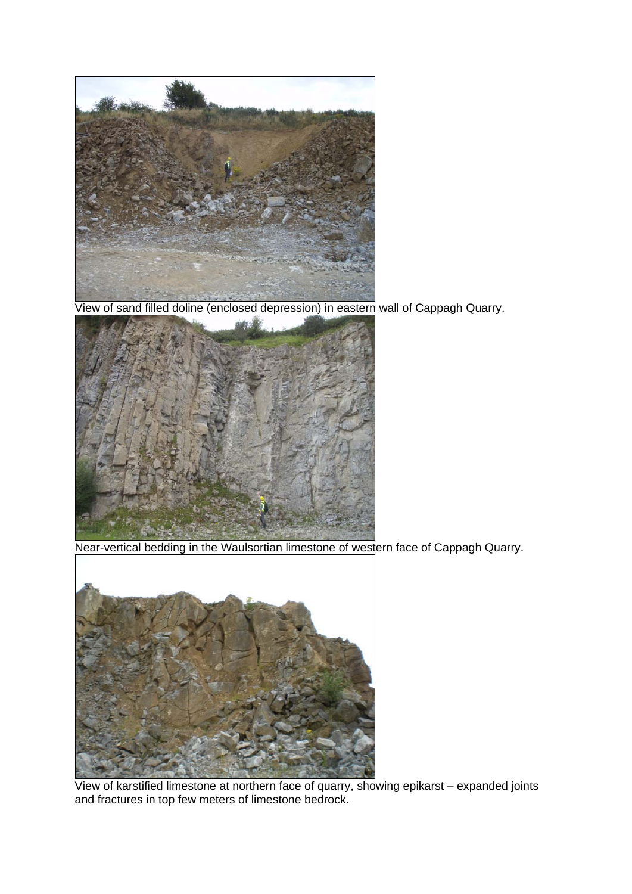

View of sand filled doline (enclosed depression) in eastern wall of Cappagh Quarry.



Near-vertical bedding in the Waulsortian limestone of western face of Cappagh Quarry.



 View of karstified limestone at northern face of quarry, showing epikarst – expanded joints and fractures in top few meters of limestone bedrock.